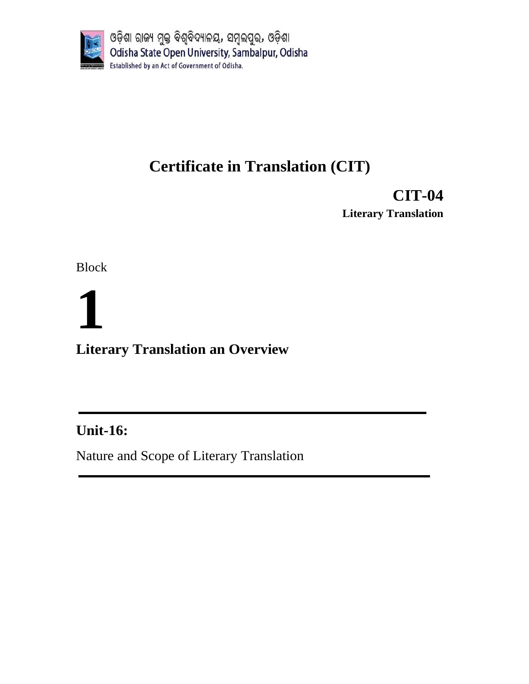

## **Certificate in Translation (CIT)**

**CIT-04 Literary Translation**

Block

# **1 Literary Translation an Overview**

## **Unit-16:**

Nature and Scope of Literary Translation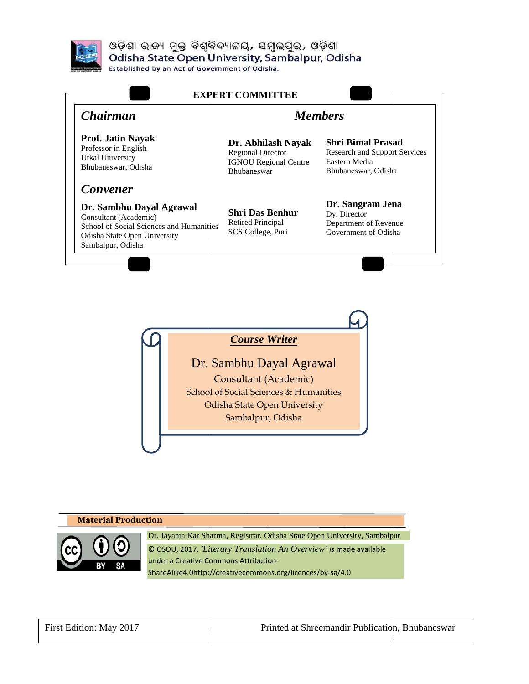

ଓଡ଼ିଶା ରାଜ୍ୟ ମୁକ୍ତ ବିଶ୍ୱବିଦ୍ୟାଳୟ, ସମ୍ବଲପୁର, ଓଡ଼ିଶା Odisha State Open University, Sambalpur, Odisha

**Established by an Act of Government of Odisha.** 



*Course Writer*

Dr. Sambhu Dayal Agrawal School of Social Sciences & Humanities Odisha State Open University Consultant (Academic) Sambalpur, Odisha

### **Material Production**  Dr. Jayanta Kar Sharma, Registrar, Odisha State Open University, Sambalpur © OSOU, 2017. *'Literary Translation Translation An Overview' is* made available under a Creative Commons Attribution under Attribution-ShareAlike4.0http://creativecommons.org/licences/by ShareAlike4.0http://creativecommons.org/licences/by-sa/4.0

First Edition: May 2017

Odisha State Open University

Printed at Shreemandir Publication Publication, Bhubaneswar

Page

2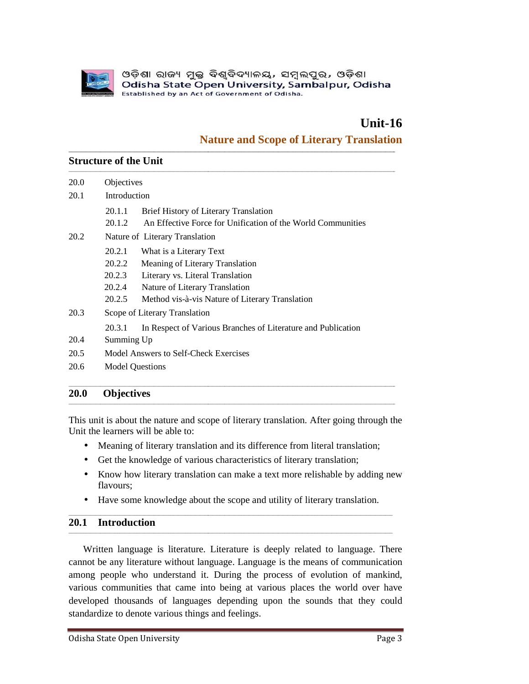

## **Unit-16 16**

### **Nature and Scope of Literary Translation**

#### **Structure of the Unit**

|      | Unit-16<br><b>Nature and Scope of Literary Translation</b>                                                                                                                                                                                                                                                                                                                                                                                                                |
|------|---------------------------------------------------------------------------------------------------------------------------------------------------------------------------------------------------------------------------------------------------------------------------------------------------------------------------------------------------------------------------------------------------------------------------------------------------------------------------|
|      | <b>Structure of the Unit</b>                                                                                                                                                                                                                                                                                                                                                                                                                                              |
| 20.0 | Objectives                                                                                                                                                                                                                                                                                                                                                                                                                                                                |
| 20.1 | Introduction                                                                                                                                                                                                                                                                                                                                                                                                                                                              |
|      | 20.1.1<br>Brief History of Literary Translation<br>An Effective Force for Unification of the World Communities<br>20.1.2                                                                                                                                                                                                                                                                                                                                                  |
| 20.2 | Nature of Literary Translation                                                                                                                                                                                                                                                                                                                                                                                                                                            |
|      | 20.2.1<br>What is a Literary Text<br>20.2.2<br>Meaning of Literary Translation<br>20.2.3<br>Literary vs. Literal Translation<br>20.2.4<br>Nature of Literary Translation                                                                                                                                                                                                                                                                                                  |
|      | 20.2.5<br>Method vis-à-vis Nature of Literary Translation                                                                                                                                                                                                                                                                                                                                                                                                                 |
| 20.3 | Scope of Literary Translation                                                                                                                                                                                                                                                                                                                                                                                                                                             |
| 20.4 | 20.3.1<br>In Respect of Various Branches of Literature and Publication<br>Summing Up                                                                                                                                                                                                                                                                                                                                                                                      |
| 20.5 | Model Answers to Self-Check Exercises                                                                                                                                                                                                                                                                                                                                                                                                                                     |
| 20.6 | <b>Model Questions</b>                                                                                                                                                                                                                                                                                                                                                                                                                                                    |
| 20.0 | <b>Objectives</b>                                                                                                                                                                                                                                                                                                                                                                                                                                                         |
|      | This unit is about the nature and scope of literary translation. After going through the<br>Unit the learners will be able to:                                                                                                                                                                                                                                                                                                                                            |
| ٠    | Meaning of literary translation and its difference from literal translation;                                                                                                                                                                                                                                                                                                                                                                                              |
| ٠    | Get the knowledge of various characteristics of literary translation;                                                                                                                                                                                                                                                                                                                                                                                                     |
|      | Know how literary translation can make a text more relishable by adding new<br>flavours;                                                                                                                                                                                                                                                                                                                                                                                  |
| ٠    | Have some knowledge about the scope and utility of literary translation.                                                                                                                                                                                                                                                                                                                                                                                                  |
| 20.1 | <b>Introduction</b>                                                                                                                                                                                                                                                                                                                                                                                                                                                       |
|      | Written language is literature. Literature is deeply related to language. There<br>cannot be any literature without language. Language is the means of communication<br>among people who understand it. During the process of evolution of mankind,<br>various communities that came into being at various places the world over have<br>developed thousands of languages depending upon the sounds that they could<br>standardize to denote various things and feelings. |

#### **20.0 Objectives**

- 
- Meaning of literary translation and its difference from literal translation;<br>• Get the knowledge of various characteristics of literary translation; • Get the knowledge of various characteristics of literary translation;

- Know how literary translation can make a text more relishable by adding new flavours; • Know how literary translation can make a text more relishable by adding flavours;<br>• Have some knowledge about the scope and utility of literary translation.
- \_\_\_\_\_\_\_\_\_\_\_\_\_\_\_\_\_\_\_\_\_\_\_\_\_\_\_\_\_\_\_\_\_\_\_\_\_\_\_\_\_\_\_\_\_\_\_\_\_\_\_\_\_\_\_\_\_\_\_\_\_\_\_\_\_\_\_\_\_\_\_\_\_\_\_\_\_\_\_\_\_\_\_\_\_\_\_\_\_\_\_\_\_\_\_\_\_\_\_\_\_\_\_\_\_\_\_\_\_\_\_\_\_\_\_\_\_\_\_\_\_\_\_\_\_\_\_\_\_\_\_\_\_

#### **20.1 Introduction**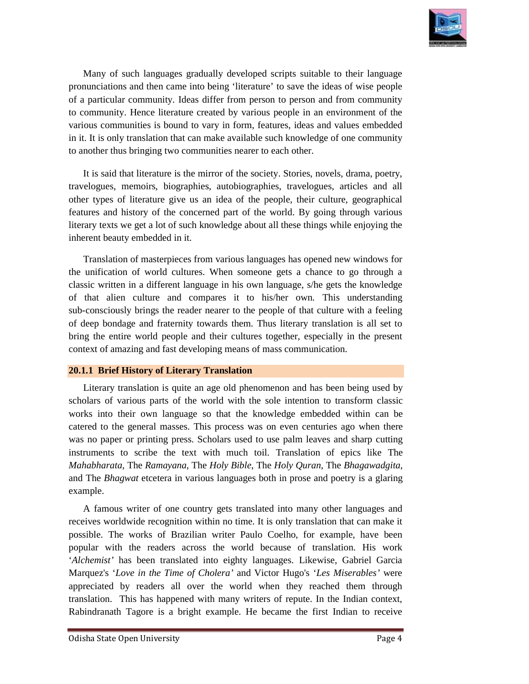

Many of such languages gradually developed scripts suitable to their language pronunciations and then came into being 'literature' to save the ideas of wise people of a particular community. Ideas differ from person to person and from community to community. Hence literature created by various people in an environment of the various communities is bound to vary in form, features, ideas and values embedded in it. It is only translation that can make available such knowledge of one community to another thus bringing two communities nearer to each other. Hence literature created by various people in an environment of the<br>nities is bound to vary in form, features, ideas and values embedded<br>ranslation that can make available such knowledge of one community<br>bringing two commu Many of such languages gradually developed scripts suitable to their language<br>pronunciations and then came into being 'literature' to save the ideas of wise people<br>of a particular community. Ideas differ from person to per

It is said that literature is the mirror of the society. Stories, novels, drama, poetry, travelogues, memoirs, biographies biographies, autobiographies, travelogues, articles and all other types of literature give us an idea of the people, their culture, geographical features and history of the concerned part of the world. By going through various literary texts we get a lot of such knowledge about all features and history of the concerned part of the world. By going through various literary texts we get a lot of such knowledge about all these things while enjoying the inherent beauty embedded in it.

Translation of masterpieces from various languages has opened new windows for the unification of world cultures. When someone gets a chance to go through a Translation of masterpieces from various languages has opened new windows for the unification of world cultures. When someone gets a chance to go through a classic written in a different language in his own language, s/he of that alien culture and compares it to his/her own. This understanding sub-consciously brings the reader nearer to the people of that culture with a feeling of deep bondage and fraternity towards them. Thus Thus literary translation is all set bring the entire world people and their cultures together, especially in the present context of amazing and fast developing means of mass communication. other types of literature give us an idea of the people, their culture, geographical<br>features and history of the concerned part of the world. By going through various<br>literary texts we get a lot of such knowledge about all

# context of amazing and fast developing means **c**<br>20.1.1 Brief History of Literary Translation

Literary translation is quite an age old phenomenon and has been being used by scholars of various parts of the world with the sole intention to transform classic works into their own language so that the knowledge embedded within can be Literary translation is quite an age old phenomenon and has been being used by scholars of various parts of the world with the sole intention to transform classic works into their own language so that the knowledge embedde was no paper or printing press. Scholars used to use palm leaves and sharp cutting was no paper or printing press. Scholars used to use palm leaves and sharp cutting instruments to scribe the text with much toil. Translation of epics like The *Mahabharata*, The *Ramayana*, The *Holy Bible*, The *Holy Quran*, The *Bhagawadgita* and The *Bhagwat* etcetera in various languages both in prose and poetry is a glaring example. Literary translation is quite an age old phenomenon and has been being used by scholars of various parts of the world with the sole intention to transform classic works into their own language so that the knowledge embedde

A famous writer of one country gets translated into many other languages and receives worldwide recognition within no time. It is only translation that can make it possible. The works of Brazilian writer Paulo Coelho, for example, have been possible. The works of Brazilian writer Paulo Coelho, for example, have been<br>popular with the readers across the world because of translation. His work 'Alchemist' has been translated into eighty languages. Likewise, Gabriel Garcia Marquez's '*Love in the Time of Cholera'* and Victor Hugo's '*Les Miserables'* were appreciated by readers all over the world when they reached them through translation. This has happened with many writers of repute. In the Indian context, Rabindranath Tagore is a bright example. He became the first Indian to receive wat etcetera in various languages both in prose and poetry is a glaring<br>writer of one country gets translated into many other languages and<br>wide recognition within no time. It is only translation that can make it of such languages grodually developed scripts smithle to their language<br>ons and then canno into being "literature" to save the ideas of wise people<br>ons and then cannot injet literation preservo to person and from communit and The *Bhagwat* etcetera in various languages both in prose and poetry is a example.<br>A famous writer of one country gets translated into many other languag<br>receives worldwide recognition within no time. It is only transl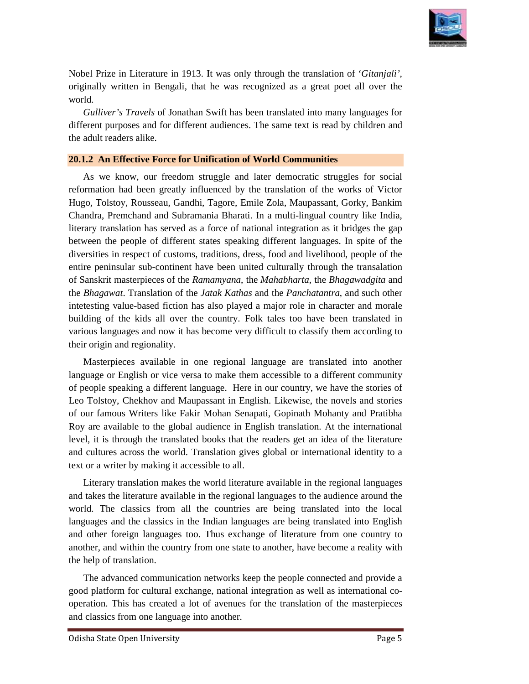

Nobel Prize in Literature in 1913. It was only through the translation of '*Gitanjali'*, originally written in Bengali, that he was recognized as a great poet all over the world.

Gulliver's Travels of Jonathan Swift has been translated into many languages for different purposes and for different audiences. The same text is read by children and the adult readers alike.

#### **20.1.2 An Effective Force for Unification of World Communities**

As we know, our freedom struggle and later democratic struggles for social reformation had been greatly influenced by the translation of the works of Victor Hugo, Tolstoy, Rousseau, Gandhi, Tagore, Emile Zola, Maupassant, Gorky, Bankim Chandra, Premchand and Subramania Bharati. In a multi-lingual country like India, literary translation has served as a force of national integration as it bridges the gap literary translation has served as a force of national integration as it bridges the gap<br>between the people of different states speaking different languages. In spite of the diversities in respect of customs, traditions, dress, food and livelihood, people of the entire peninsular sub-continent have been united culturally through the transalation entire peninsular sub-continent have been united culturally through the transalation of Sanskrit masterpieces of the *Ramamyana* , the *Mahabharta*, the *Bhagawadgita* and the *Bhagawat*. Translation of the *Jatak Kathas*  and the *Panchatantra*, and such other intetesting value-based fiction has also played a major role in character and morale intetesting value-based fiction has also played a major role in character and morale<br>building of the kids all over the country. Folk tales too have been translated in various languages and now it has become very difficult to classify them according to their origin and regionality. originally written in Bengali, that he was recognized as a great poet all over the Coultber's Travels of Jonathan Swift has been translated into many languages for fifterent parposes and for different audiences. The same t

Masterpieces available in one regional language are translated into another language or English or vice versa to make them accessible to a different community of people speaking a different language. Here in our Leo Tolstoy, Chekhov and Maupassant in English. Likewise, the novels and stories of our famous Writers like Fakir Mohan Senapati, Gopinath Mohanty and Pratibha Roy are available to the global audience in English translation. At the international level, it is through the translated books that the readers get an idea of the literature and cultures across the world. Translation gives global or international identity to a text or a writer by making it accessible to all. ous languages and now it has become very difficult to classify them according to<br>r origin and regionality.<br>Masterpieces available in one regional language are translated into another<br>guage or English or vice versa to make Leo Tolstoy, Chekhov and Maupassant in English. Likewise, the novels and stories of our famous Writers like Fakir Mohan Senapati, Gopinath Mohanty and Pratibha Roy are available to the global audience in English translatio

Literary translation makes the world literature available in the regional languages and takes the literature available in the regional languages to the audience around the world. The classics from all the countries are being translated into the local languages and the classics in the Indian languages are being translated into English and other foreign languages too. Thus exchange of literature from one country to another, and within the country from one state to another, have become a reality with the help of translation.

The advanced communication networks keep the people connected and provide a The advanced communication networks keep the people connected and provide as good platform for cultural exchange, national integration as well as international co operation. This has created a lot of avenues for the translation of the masterpieces and classics from one language into another another.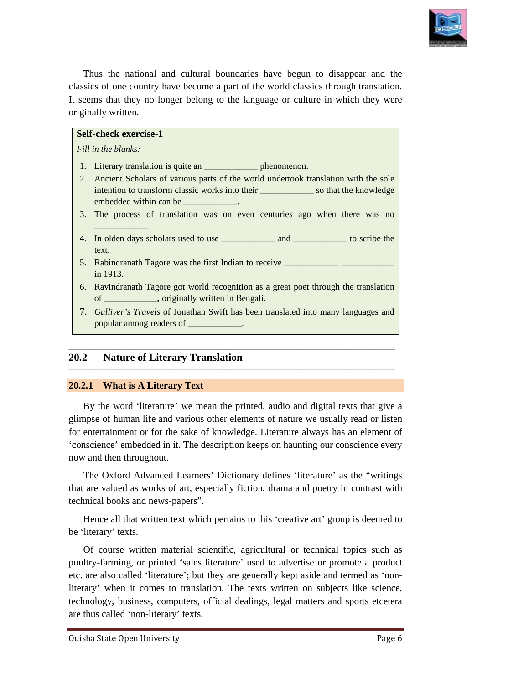

Thus the national and cultural boundaries have begun to disappear and the classics of one country have become a part of the world classics through translation. classics of one country have become a part of the world classics through translation.<br>It seems that they no longer belong to the language or culture in which they were originally written.

|       | <b>Self-check exercise-1</b>                                                                                                         |
|-------|--------------------------------------------------------------------------------------------------------------------------------------|
|       | Fill in the blanks:                                                                                                                  |
| 1.    | Literary translation is quite an <u>example phenomenon</u> .                                                                         |
| 2.    | Ancient Scholars of various parts of the world undertook translation with the sole<br>embedded within can be _____________.          |
| 3.    | The process of translation was on even centuries ago when there was no                                                               |
| 4.    | text.                                                                                                                                |
| 5.    | in 1913.                                                                                                                             |
| 6.    | Ravindranath Tagore got world recognition as a great poet through the translation<br>of ____________, originally written in Bengali. |
|       | 7. Gulliver's Travels of Jonathan Swift has been translated into many languages and<br>popular among readers of ____________.        |
|       |                                                                                                                                      |
| 2.0.2 | <b>Nature of Literary Translation</b>                                                                                                |

#### **20.2 Nature of Literary Translation of**

#### **20.2.1 What is A Literary Text**

By the word 'literature' we mean the printed, audio and digital texts that give a glimpse of human life and various other elements of nature we usually read or listen for entertainment or for the sake of knowledge. Literature always has an element of 'conscience' embedded in it. The descript now and then throughout. glimpse of human life and various other elements of nature we usually read or listen<br>for entertainment or for the sake of knowledge. Literature always has an element of<br>'conscience' embedded in it. The description keeps on By the word 'literature' we mean the printed, audio and digital texts that give a glimpse of human life and various other elements of nature we usually read or listen for entertainment or for the sake of knowledge. Literat

The Oxford Advanced Learners' Dictionary defines 'literature' as the "writings that are valued as works of art, especially fiction, drama and poetry in contrast with technical books and news-papers". The Oxford Advanced Learners' Dictionary defines 'literature' as the "writings<br>are valued as works of art, especially fiction, drama and poetry in contrast with<br>nical books and news-papers".<br>Hence all that written text whi

Hence all that written text which pertains to this 'creative art' group is deemed to be 'literary' texts.

Of course written material scientific, agricultural or technical topics poultry-farming, or printed 'sales literature' used to advertise or promote a product etc. are also called 'literature'; but they are generally kept aside and termed as 'nonetc. are also called 'literature'; but they are generally kept aside and termed as literary' when it comes to translation. The texts written on subjects like science, technology, business, computers, official dealings, legal matters and sports etcetera are thus called 'non-literary' texts.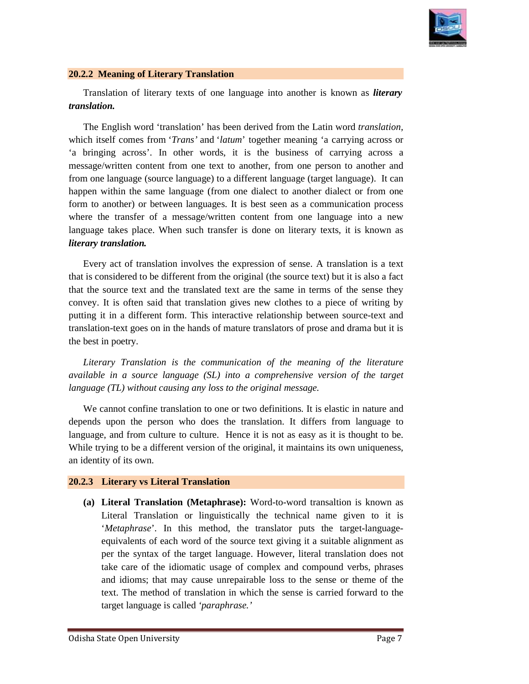

#### **20.2.2 Meaning of Literary Translation**

Translation of literary texts of one language into another is known as *literary translation.* 

The English word 'translation' has been derived from the Latin word *translation*, which itself comes from '*Trans*' and '*latum*' together meaning 'a carrying across or 'a bringing across'. In other words, it is the business of carrying across a message/written content from one text to another, from one person to another and message/written content from one text to another, from one person to another and<br>from one language (source language) to a different language (target language). It can happen within the same language (from one dialect to another dialect or from one form to another) or between languages. It is best seen as a communication process where the transfer of a message/written content from one language into a new language takes place. When such transfer is done on literary texts, it is known as *literary translation.* message/written content from one text to another, from one person to another and<br>from one language (source language) to a different language (target language). It can<br>happen within the same language (from one dialect to an

Every act of translation involves the expression of sense. A translation is a text that is considered to be different from the original (the source text) but it is also a fact that the source text and the translated text are the same in terms of the sense they convey. It is often said that translation gives new clothes to a piece of writing by that the source text and the translated text are the same in terms of the sense they convey. It is often said that translation gives new clothes to a piece of writing by putting it in a different form. This interactive rel translation-text goes on in the hands of mature translators of prose and drama but it is the best in poetry.

Literary Translation is the communication of the meaning of the literature *available in a source language (SL) into a comprehensive version of the target language (TL) without causing any loss to the original message.* 

We cannot confine translation to one or two definitions. It is elastic in nature and We cannot confine translation to one or two definitions. It is elastic in nature and depends upon the person who does the translation. It differs from language to language, and from culture to culture. Hence it is not as easy as it is thought to be. language, and from culture to culture. Hence it is not as easy as it is thought to be.<br>While trying to be a different version of the original, it maintains its own uniqueness, an identity of its own. We cannot confine translation to one or two definitions. It is elastic in nature and<br>depends upon the person who does the translation. It differs from language to<br>language, and from culture to culture. Hence it is not as e

#### **20.2.3 Literary vs Literal Translation**

(a) Literal Translation (Metaphrase): Word-to-word transaltion is known Literal Translation or linguistically the technical name given to it is '*Metaphrase*'. In this method, the translator puts the target-languageequivalents of each word of the source text giving it a suitable alignment as per the syntax of the target language. However, literal translation does not take care of the idiomatic usage of complex and compound verbs, phrases and idioms; that may cause unrepairable loss to the sense or theme of the text. The method of translation in which the sense is carried forward to the target language is called *'paraphrase.'*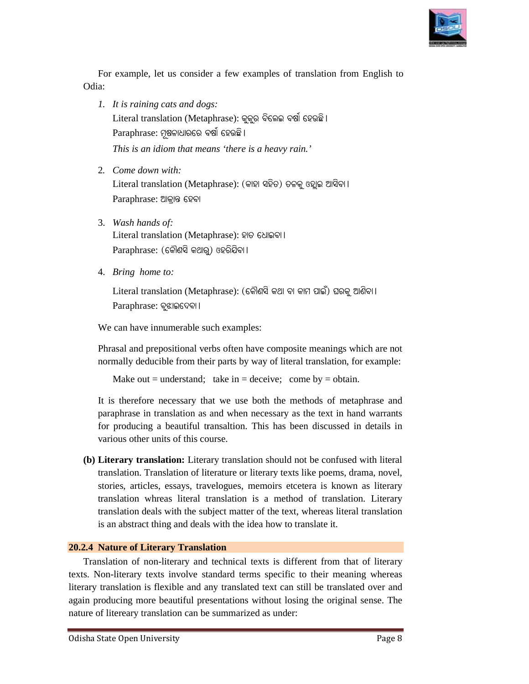

For example, let us consider a few examples of translation from English to Odia:

- *1. It is raining cats and dogs: dogs:*   $L$ iteral translation (Metaphrase): କୁକୁର ବିଲେଇ ବର୍ଷା ହେଉଛି।  $\mathop{\mathsf{Paraphrase}}$ : ମୂଷଳାଧାରରେ ବର୍ଷା ହେଉଛି। *This is an idiom that means 't 'there is a heavy rain.'*
- 2*. Come down with:*   ${\rm Liter}$ al translation ( ${\rm Metaphrase}$ ): (କାହା ସହିତ) ତଳକୁ ଓହ୍ଲାଇ ଆସିବା। Paraphrase: ଆକାନ୍ତ ହେବା
- 3. *Wash hands of:*  Literal translation (Metaphrase): ହାତ ଧୋଇବା ।  $\operatorname{Paraphrase: }$  (କୌଣସି କଥାରୁ) ଓହରିଯିବା।
- 4. *Bring home to:*

```
\rm Literal translation (Metaphrase): (କୌଣସି କଥା ବା କାମ ପାଇଁ) ଘରକୁ ଆଣିବା।
Paraphrase: ବୃଝାଇଦେବା ।
```
We can have innumerable such examples:

Phrasal and prepositional verbs often have composite meanings which are not normally deducible from their parts by way of literal translation, for example: We can have innumerable such examples:<br>Phrasal and prepositional verbs often have composite meanings which are not<br>normally deducible from their parts by way of literal translation, for example:

```
Make out = understand; take in = deceive; come by = obtain.
```
Make out = understand; take in = deceive; come by = obtain.<br>It is therefore necessary that we use both the methods of metaphrase and paraphrase in translation as and when necessary as the text in hand warrants for producing a beautiful transaltion. This has been discussed in details in various other units of this course. for producing a beautiful transaltion. This has been discussed in details in various other units of this course.<br>**(b)** Literary translation: Literary translation should not be confused with literal

translation. Translation of literature or literary texts like poems, drama, novel, stories, articles, essays, travelogues, memoirs etcetera is known as literary translation. Translation of literature or literary texts like poems, drama, novel, stories, articles, essays, travelogues, memoirs etcetera is known as literary translation whreas literal translation is a method of transla translation deals with the subject matter of the text, whereas literal translation is an abstract thing and deals with the idea how to translate it. is an abstract thing and deals with the idea how to translate it. sphe, let us consider a few examples of translation from English to<br>
uniting cats and dogs:<br>
translation (Metaphrase): @@ §66@ or@ 676@ if<br>
translation (Metaphrase): @@ §66@ or@ 1<br>
or moreover with:<br>
dogs an idition that Phrasal and prepositional verbs often have composite meanings which are not<br>normally deducible from their parts by way of literal translation, for example:<br>Make out = understand; take in = deceive; come by = obtain.<br>It is

#### **20.2.4 Nature of Literary Translation ranslation**

Translation of non-literary and technical texts is different from that of literary texts. Non-literary texts involve standard terms specific to their meaning whereas literary translation is flexible and any translated text can still be translated over and again producing more beautiful presentations without losing the original sense. The nature of litereary translation can be summarized as under: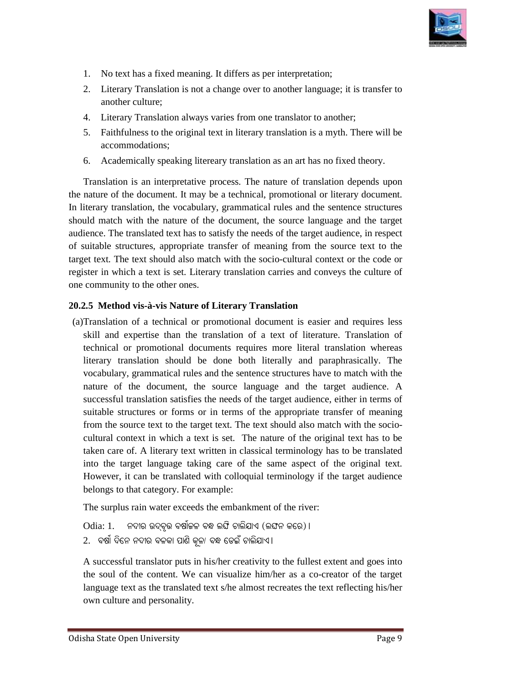

- 1. No text has a fixed meaning. It differs as per interpretation;
- 2. Literary Translation is not a change over to another language; it is transfer to another culture;
- 4. Literary Translation always varies from one translator to another;
- 5. Faithfulness to the original text in literary translation is a myth. There will be accommodations;
- 6. Academically speaking litereary translation as an art has no fixed theory.

Translation is an interpretative process. The nature of translation depends upon the nature of the document. It may be a technical, promotional or literary document. In literary translation, the vocabulary, grammatical rules and the sentence structures should match with the nature of the document, the source language and the target audience. The translated text has to satisfy the needs of the target audience, in respect of suitable structures, appropriate transfer of meaning from the source text to the target text. The text should also match with the socio-cultural context or the code or register in which a text is set. Literary translation carries and conveys the culture of one community to the other ones. the nature of the document. It may be a technical, promotional or literary document.<br>In literary translation, the vocabulary, grammatical rules and the sentence structures<br>should match with the nature of the document, the 5. Faithfulness to the original text in literary translation is a myth. There will be accommodations;<br>6. Academically speaking litereary translation as an art has no fixed theory.<br>Translation is an interpretative process.

#### **20.2.5 Method vis-à-vis Nature of of Literary Translation**

(a)Translation of a technical or promotional document is easier and requires less skill and expertise than the translation of a text of literature. Translation of skill and expertise than the translation of a text of literature. technical or promotional documents requires more literal translation whereas technical or promotional documents requires more literal translation whereas<br>literary translation should be done both literally and paraphrasically. The vocabulary, grammatical rules and the sentence structures have to match with the nature of the document, the source language and the target audience. A nature of the document, the source language and the target audience. A successful translation satisfies the needs of the target audience, either in terms of suitable structures or forms or in terms of the appropriate transfer of meaning from the source text to the target text. The text should also match with the socio suitable structures or forms or in terms of the appropriate transfer of meaning<br>from the source text to the target text. The text should also match with the socio-<br>cultural context in which a text is set. The nature of the taken care of. A literary text written in classical terminology has to be translated into the target language taking care of the same aspect of the original text. However, it can be translated with colloquial terminology if the target audience belongs to that category. For example: taken care of. A literary text written in classical terminology has to be translated<br>into the target language taking care of the same aspect of the original text.<br>However, it can be translated with colloquial terminology i l. No text have fixed meaning, it differs as per interpretation:<br>
2. Literary Translation is not a change over to another language; it is transfer to<br>
2. Literary Translation is not a change over to another language; it i Itural context in which a text is set. The nature of the original text has<br>cen care of. A literary text written in classical terminology has to be trans<br>co the target language taking care of the same aspect of the origina

belongs to that category. For example:<br>The surplus rain water exceeds the embankment of the river:

 $\rm Odia: 1.$  ନଦୀର ଉଦ୍ବୃତ୍ତ ବର୍ଷାକଳ ବନ୍ଧ ଲଙ୍ଘି ଚାଲିଯାଏ (ଲଙ୍ଘନ କରେ)। 2. ବର୍ଷା ଦିନେ ନଦୀର ବଳକା ପାଣି କୂଳା ବନ୍ଧ ଡେଇଁ ଚାଲିଯାଏ ।

A successful translator puts in his/her creativity to the fullest extent and goes into A successful translator puts in his/her creativity to the fullest extent and goes into the soul of the content. We can visualize him/her as a co-creator of the target language text as the translated text s/he almost recreates the text reflecting his/her own culture and personality.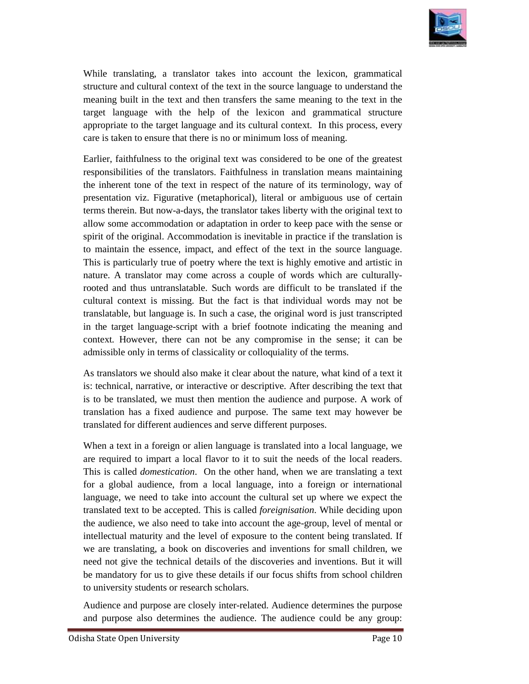

While translating, a translator takes into account the lexicon, grammatical structure and cultural context of the text in the source language to understand the While translating, a translator takes into account the lexicon, grammatical structure and cultural context of the text in the source language to understand the meaning built in the text and then transfers the same meaning target language with the help of the lexicon and grammatical structure appropriate to the target language and its cultural context. In this process, every care is taken to ensure that there is no or minimum loss of meaning.

Earlier, faithfulness to the original text was considered to be one of the greatest responsibilities of the translators. Faithfulness in translation means maintaining the inherent tone of the text in respect of the nature of its terminology, way of presentation viz. Figurative (metaphorical), literal or ambiguous use of certain presentation viz. Figurative (metaphorical) terms therein. But now-a-days, the translator takes liberty with the original text to allow some accommodation or adaptation in order to keep pace with the sense or spirit of the original. Accommodation is inevitable in practice if the translation is spirit of the original. Accommodation is inevitable in practice if the translation is to maintain the essence, impact, and effect of the text in the source language. This is particularly true of poetry where the text is highly emotive and artistic in to maintain the essence, impact, and effect of the text in the source language<br>This is particularly true of poetry where the text is highly emotive and artistic in<br>nature. A translator may come across a couple of words whi rooted and thus untranslatable. Such words are difficult to be translated if the cultural context is missing. But the fact is that individual words may not be rooted and thus untranslatable. Such words are difficult to be translated if the cultural context is missing. But the fact is that individual words may not be translatable, but language is. In such a case, the original wor in the target language-script with a brief footnote indicating the meaning and context. However, there can not be any compromise in the sense; it can be admissible only in terms of classicality or colloquiality of the term context. However, there can not be any compromise in the sense; it can be admissible only in terms of classicality or colloquiality of the terms. appropriate to the target language and its cultural context. In this process, every<br>care is taken to ensure that there is no or minimum loss of meaning.<br>Earlier, faithfulness to the original text was considered to be one o While translating, a translation tracket into account the locition, grammatical<br>structure and cultural context of the text in the source language to understand the<br>heating built in the text and the transfers the same mean While translating, a translator takes into account the lexicon, grammatical structure and cultural context of the text in the source language to understand the meaning built in the text and then transfers the same meaning

As translators we should also make it clear about the nature, what kind of a text it is: technical, narrative, or interactive or descriptive. After describing the text that is to be translated, we must then mention the audience and purpose. A work of translation has a fixed audience and purpose. The same text may however be translated for different audiences and serve different purposes. is: technical, narrative, or interactive or descriptive. After describing the text that<br>is to be translated, we must then mention the audience and purpose. A work of<br>translation has a fixed audience and purpose. The same t

When a text in a foreign or alien language is translated into a local language, we are required to impart a local flavor to it to suit the needs of the local readers. This is called *domestication*. On the other hand, when we are translating a text for a global audience, from a local language, into a foreign or international language, we need to take into account the cultural set up where we expect the translated text to be accepted. This is called *foreignisation*. While deciding upon the audience, we also need to take into account the age-group, level of mental or intellectual maturity and the level of exposure to the content being translated. If we are translating, a book on discoveries and inventions for small children, we need not give the technical details of the discoveries and inventions. But it will we are translating, a book on discoveries and inventions for small children, we need not give the technical details of the discoveries and inventions. But it will be mandatory for us to give these details if our focus shif to university students or research scholars. This is called *domestication*. On the other hand, when we are translating a text for a global audience, from a local language, into a foreign or international language, we need to take into account the cultural set up whe rooted and thus untranslatable. Such words are difficult to be translated if the cultural comest. Is missing. But the fact is that individual words may not be compromised in the target language script with a brief footnote

to university students or research scholars.<br>Audience and purpose are closely inter-related. Audience determines the purpose and purpose also determines the audience. The audience could be any group: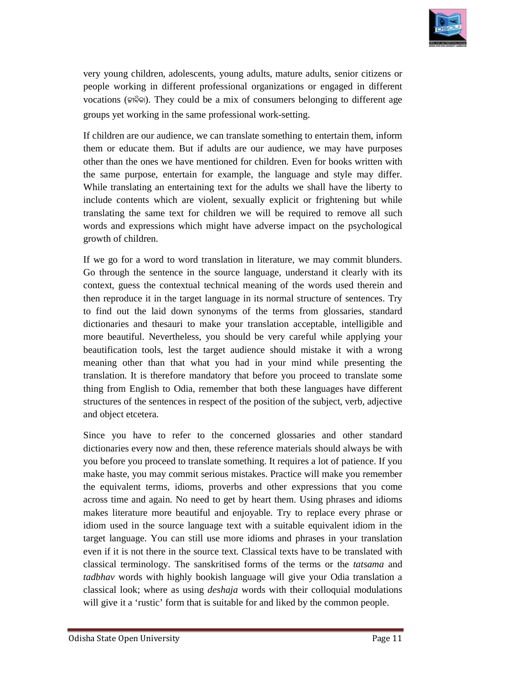

very young children, adolescents, young adults, mature adults, senior citizens or people working in different professional organizations or engaged in different vocations (କାବିକା). They could be a mix of consumers belonging to different age groups yet working in the same professional work people working in different professional organizations o<br>vocations (ଜାବିକା). They could be a mix of consumers belo<br>groups yet working in the same professional work-setting.

If children are our audience, we can translate something to entertain them, inform them or educate them. But if adults are our audience, we may have purposes other than the ones we have mentioned for children. Even for books written with the same purpose, entertain for example, the language and style may differ. While translating an entertaining text for the adults we shall have the liberty to include contents which are violent, sexually explicit or frightening but while If children are our audience, we can translate something to entertain them, inform<br>them or educate them. But if adults are our audience, we may have purposes<br>other than the ones we have mentioned for children. Even for boo words and expressions which might have adverse impact on the psychological growth of children.<br>If we go for a word to word translation in literature, we may commit blunders. growth of children.

If we go for a word to word translation in literature, we may commit blunders. Go through the sentence in the source language, understand it clearly with its context, guess the contextual technical meaning of the words used therein and then reproduce it in the target language in its normal structure of senten to find out the laid down synonyms of the terms from glossaries, standard dictionaries and thesauri to make your translation acceptable, intelligible and more beautiful. Nevertheless, you should be very careful while applying your beautification tools, lest the target audience should mistake it with a wrong meaning other than that what you had in your mind while presenting the translation. It is therefore mandatory that before you proceed to translate some meaning other than that what you had in your mind while presenting the translation. It is therefore mandatory that before you proceed to translate some thing from English to Odia, remember that both these languages have di structures of the sentences in respect of the position of the subject, verb, adjective and object etcetera. Go through the sentence in the source language, understand it clearly with its context, guess the contextual technical meaning of the words used therein and then reproduce it in the target language in its normal structure very young children, adobescents, young adulas, matura adulas, enviro environs or engaged in different professional organizations or engaged in different two<br>entires or engaged in different professional organizations or en

Since you have to refer to the concerned glossaries and other standard dictionaries every now and then, these reference materials should always be with dictionaries every now and then, these reference materials should always be with you before you proceed to translate something. It requires a lot of patience. If you make haste, you may commit serious mistakes. Practice will make you remember you before you proceed to translate something. It requires a lot of patience. If you<br>make haste, you may commit serious mistakes. Practice will make you remember<br>the equivalent terms, idioms, proverbs and other expressions across time and again. No need to get by heart them. Using phrases and idioms makes literature more beautiful and enjoyable. Try to replace every phrase or idiom used in the source language text with a suitable equivalent idiom in the target language. You can still use more idioms and phrases in your translation even if it is not there in the source text. Classical texts have to be translated with classical terminology. The sanskritised forms of the terms or the tatsama and tadbhav words with highly bookish language will give your Odia translation a classical look; where as using *deshaja* words with their colloquial modulations will give it a 'rustic' form that is suitable for and liked by the common people. makes literature more beautiful and enjoyable. Try to replace every phrase or<br>idiom used in the source language text with a suitable equivalent idiom in the<br>target language. You can still use more idioms and phrases in you very young children, addescents, young adults, nature adults, senior citizens or<br>propele working in different professional organizations or engaged in different spo<br>concents (wive). They could be a mix of consumers belongi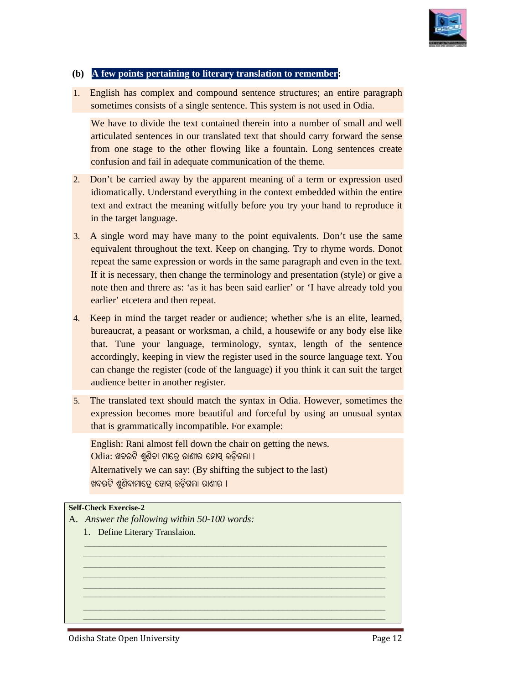

#### **(b)** A few points pertaining to literary translation to remember:

1. English has complex and compound sentence structures; an entire paragraph sometimes consists of a single sentence. This system is not used in Odia.

sometimes consists of a single sentence. This system is not used in Odia.<br>We have to divide the text contained therein into a number of small and well articulated sentences in our translated text that should carry forward the sense from one stage to the other flowing like a fountain. Long sentences create confusion and fail in adequate communication of the theme. lated sentences in our translated text that should carry forward the sense<br>one stage to the other flowing like a fountain. Long sentences create<br>sion and fail in adequate communication of the theme.<br>be carried away by the

- 2. Don't be carried away by the apparent meaning of a term or expression used idiomatically. Understand everything in the context embedded within the entire text and extract the meaning witfully before you try your hand to reproduce it in the target language.
- 3. A single word may have many to the point equivalents. Don't use the same equivalent throughout the text. Keep on changing. Try to rhyme words. Donot repeat the same expression or words in the same paragraph and even in the text. If it is necessary, then change the terminology and presentation (style) or give a note then and threre as: 'as it has been said earlier' or 'I have already told you earlier' etcetera and then repeat. note then and threre as: 'as it has been said earlier' or 'I have already told you earlier' etcetera and then repeat.<br>4. Keep in mind the target reader or audience; whether s/he is an elite, learned, idiomatically. Understand everything in the context embedded within the entire<br>text and extract the meaning witfully before you try your hand to reproduce it<br>in the target language.<br>A single word may have many to the point **Example the symbol probability and the symbol scattering transform for examples and compound scatteness structures) and entirely sometimes consists of a single sentiestice. This system is not used in Odia. One have have** an sentence structures; an entire paragraph<br>consists of a single sentence. This system is not used in Odia.<br>Sentences in our translated text that should carry forward the sense<br>entences in our translated text that should c
- bureaucrat, a peasant or worksman, a child, a housewife or any body else like that. Tune your language, terminology, syntax, length of the sentence accordingly, keeping in view the register used in the source language text. You accordingly, keeping in view the register used in the source language text. You<br>can change the register (code of the language) if you think it can suit the target audience better in another register.
- 5. The translated text should match the syntax in Odia. However, sometimes the expression becomes more beautiful and forceful by using an unusual syntax that is grammatically incompatible. For example: The translated text should match the syntax in O expression becomes more beautiful and forceful<br>that is grammatically incompatible. For example:

*\_\_\_\_\_\_\_\_\_\_\_\_\_\_\_\_\_\_\_\_\_\_\_\_\_\_\_\_\_\_\_\_\_\_\_\_\_\_\_\_\_\_\_\_\_\_\_\_\_\_\_\_\_\_\_\_\_\_\_\_\_\_\_\_\_\_\_\_\_\_\_\_\_\_\_\_\_\_\_\_\_\_\_\_\_\_\_\_\_\_\_\_\_\_\_\_\_\_\_\_\_\_\_\_\_\_\_\_\_\_\_\_\_\_\_\_\_\_\_\_\_\_\_\_ \_\_\_\_\_\_\_\_\_\_\_\_\_\_\_\_\_\_\_\_\_\_\_\_\_\_\_\_\_\_\_\_\_\_\_\_\_\_\_\_\_\_\_\_\_\_\_\_\_\_\_\_\_\_\_\_\_\_\_\_\_\_\_\_\_\_\_\_\_\_\_\_\_\_\_\_\_\_\_\_\_\_\_\_\_\_\_\_\_\_\_\_\_\_\_\_\_\_\_\_\_\_\_\_\_\_\_\_\_\_\_\_\_\_\_\_\_\_\_\_\_\_\_\_ \_\_\_\_\_\_\_\_\_\_\_\_\_\_\_\_\_\_\_\_\_\_\_\_\_\_\_\_\_\_\_\_\_\_\_\_\_\_\_\_\_\_\_\_\_\_\_\_\_\_\_\_\_\_\_\_\_\_\_\_\_\_\_\_\_\_\_\_\_\_\_\_\_\_\_\_\_\_\_\_\_\_\_\_\_\_\_\_\_\_\_\_\_\_\_\_\_\_\_\_\_\_\_\_\_\_\_\_\_\_\_\_\_\_\_\_\_\_\_\_\_\_\_\_ \_\_\_\_\_\_\_\_\_\_\_\_\_\_\_\_\_\_\_\_\_\_\_\_\_\_\_\_\_\_\_\_\_\_\_\_\_\_\_\_\_\_\_\_\_\_\_\_\_\_\_\_\_\_\_\_\_\_\_\_\_\_\_\_\_\_\_\_\_\_\_\_\_\_\_\_\_\_\_\_\_\_\_\_\_\_\_\_\_\_\_\_\_\_\_\_\_\_\_\_\_\_\_\_\_\_\_\_\_\_\_\_\_\_\_\_\_\_\_\_\_\_\_\_ \_\_\_\_\_\_\_\_\_\_\_\_\_\_\_\_\_\_\_\_\_\_\_\_\_\_\_\_\_\_\_\_\_\_\_\_\_\_\_\_\_\_\_\_\_\_\_\_\_\_\_\_\_\_\_\_\_\_\_\_\_\_\_\_\_\_\_\_\_\_\_\_\_\_\_\_\_\_\_\_\_\_\_\_\_\_\_\_\_\_\_\_\_\_\_\_\_\_\_\_\_\_\_\_\_\_\_\_\_\_\_\_\_\_\_\_\_\_\_\_\_\_\_\_ \_\_\_\_\_\_\_\_\_\_\_\_\_\_\_\_\_\_\_\_\_\_\_\_\_\_\_\_\_\_\_\_\_\_\_\_\_\_\_\_\_\_\_\_\_\_\_\_\_\_\_\_\_\_\_\_\_\_\_\_\_\_\_\_\_\_\_\_\_\_\_\_\_\_\_\_\_\_\_\_\_\_\_\_\_\_\_\_\_\_\_\_\_\_\_\_\_\_\_\_\_\_\_\_\_\_\_\_\_\_\_\_\_\_\_\_\_\_\_\_\_\_\_\_ \_\_\_\_\_\_\_\_\_\_\_\_\_\_\_\_\_\_\_\_\_\_\_\_\_\_\_\_\_\_\_\_\_\_\_\_\_\_\_\_\_\_\_\_\_\_\_\_\_\_\_\_\_\_\_\_\_\_\_\_\_\_\_\_\_\_\_\_\_\_\_\_\_\_\_\_\_\_\_\_\_\_\_\_\_\_\_\_\_\_\_\_\_\_\_\_\_\_\_\_\_\_\_\_\_\_\_\_\_\_\_\_\_\_\_\_\_\_\_\_\_\_\_\_ \_\_\_\_\_\_\_\_\_\_\_\_\_\_\_\_\_\_\_\_\_\_\_\_\_\_\_\_\_\_\_\_\_\_\_\_\_\_\_\_\_\_\_\_\_\_\_\_\_\_\_\_\_\_\_\_\_\_\_\_\_\_\_\_\_\_\_\_\_\_\_\_\_\_\_\_\_\_\_\_\_\_\_\_\_\_\_\_\_\_\_\_\_\_\_\_\_\_\_\_\_\_\_\_\_\_\_\_\_\_\_\_\_\_\_\_\_\_\_\_\_\_\_\_*

English: Rani almost fell down the chair on getting the news. Odia: ଖବରଟି ଶୁଣିବା ମାତ୍ରେ ରାଣୀର ହୋସ୍ ଉଡ଼ିଗଲା । Alternatively we can say: (By shifting the subject to the last) ଖବରଟି ଶ୍ୱଣିବାମାତେ ହୋସ୍ ଉଡିଗଲା ରାଣୀର ।

#### **Self-Check Exercise-2**

- A. *Answer the following within 50- -100 words:* 
	- 1. Define Literary Translaion.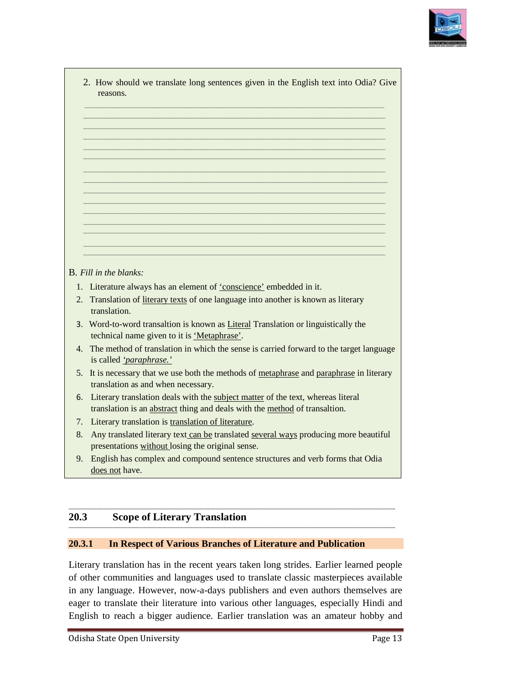

|                | <b>B</b> . Fill in the blanks:                                                                                                                            |
|----------------|-----------------------------------------------------------------------------------------------------------------------------------------------------------|
|                |                                                                                                                                                           |
|                | 1. Literature always has an element of 'conscience' embedded in it.                                                                                       |
|                | 2. Translation of literary texts of one language into another is known as literary<br>translation.                                                        |
|                | 3. Word-to-word transaltion is known as Literal Translation or linguistically the                                                                         |
| $\overline{4}$ | technical name given to it is 'Metaphrase'.<br>The method of translation in which the sense is carried forward to the target language                     |
|                | is called 'paraphrase.'<br>5. It is necessary that we use both the methods of metaphrase and paraphrase in literary<br>translation as and when necessary. |
| 6.             | Literary translation deals with the subject matter of the text, whereas literal                                                                           |
| 7.             | translation is an abstract thing and deals with the method of transaltion.                                                                                |
| 8.             | Literary translation is translation of literature.                                                                                                        |
|                | Any translated literary text can be translated several ways producing more beautiful<br>presentations without losing the original sense.                  |

#### 20.3 **Scope of Literary Translation**

#### 20.3.1 **In Respect of Various Branches of Literature and Publication**

Literary translation has in the recent years taken long strides. Earlier learned people of other communities and languages used to translate classic masterpieces available in any language. However, now-a-days publishers and even authors themselves are eager to translate their literature into various other languages, especially Hindi and English to reach a bigger audience. Earlier translation was an amateur hobby and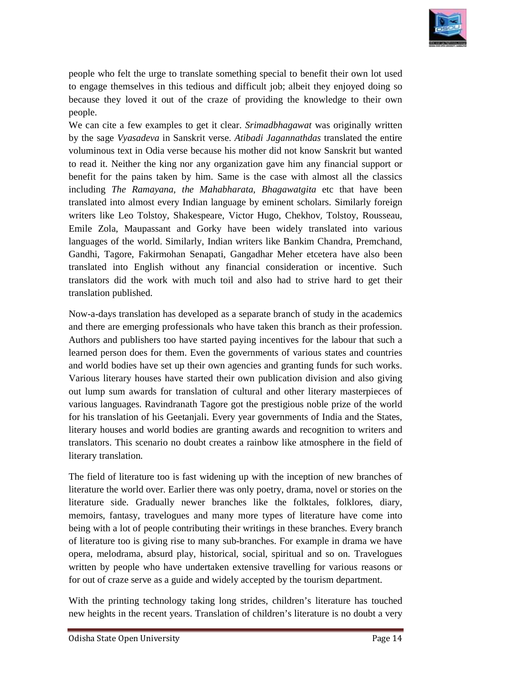

people who felt the urge to translate something special to benefit their own lot used people who felt the urge to translate something special to benefit their own lot used<br>to engage themselves in this tedious and difficult job; albeit they enjoyed doing so because they loved it out of the craze of providing the knowledge to their own<br>people.<br>We can cite a few examples to get it clear. Srimadbhagawat was originally written people.

We can cite a few examples to get it clear. *Srimadbhagawat* was originally written by the sage *Vyasadeva* in Sanskrit verse. *Atibadi Jagannathdas* translated the entire voluminous text in Odia verse because his mother did not know Sanskrit but wanted to read it. Neither the king nor any organization gave him any financial support or to read it. Neither the king nor any organization gave him any financial support or benefit for the pains taken by him. Same is the case with almost all the classics including *The Ramayana, the Mahabharata, Bhagawatgita* etc that have been translated into almost every Indian language by eminent scholars. Similarly foreign<br>writers like Leo Tolstoy, Shakespeare, Victor Hugo, Chekhov, Tolstoy, Rousseau, writers like Leo Tolstoy, Shakespeare, Victor Hugo, Chekhov, Tolstoy, Rousseau, Emile Zola, Maupassant and Gorky have been widely translated into various Emile Zola, Maupassant and Gorky have been widely translated into various<br>languages of the world. Similarly, Indian writers like Bankim Chandra, Premchand Gandhi, Tagore, Fakirmohan Senapati, Gangadhar Meher etcetera have also been translated into English without any financial consideration or incentive. Such translators did the work with much toil and also had to strive hard to get their<br>translation published.<br>Now-a-days translation has developed as a separate branch of study in the academics translation published. the who fielt the tage to translate something special to benefit their como lot used<br>gage themselves in this bedious and difficult job; atheit they enjoyed doing so<br>the the two bood it out of the cruzes of providing the h people who felt the urge to translate something special to benefit their own lot used<br>to engage themselves in this tedious and difficult job; albeit they enjoyed doing so<br>because they loved it out of the craze of providing

Now-a-days translation has developed as a separate branch of study in the academics and there are emerging professionals who have taken this branch as their profession.<br>Authors and publishers too have started paying incentives for the labour that such a<br>learned person does for them. Even the governments o Authors and publishers too have started paying incentives for the labour that such a learned person does for them. Even the governments of various states and countries and world bodies have set up their own agencies and granting funds for such works. Various literary houses have started their own publication division and also giving out lump sum awards for translation of cultural and other literary masterpieces of various languages. Ravindranath Tagore got the prestigious noble prize of the world for his translation of his Geetanjali. Every year governments of India and the States, literary houses and world bodies are granting awards and recognition to writers and translators. This scenario no doubt creates a rainbow like atmosphere in the field of literary translation. d world bodies have set up their own agencies and granting funds for such works.<br>
arious literary houses have started their own publication division and also giving<br>
t lump sum awards for translation of cultural and other translated into English without any financial consideration or incentive. Such<br>translation gidd the work with much toil and also had to strive hard to get their<br>translation published.<br>Now-a-days translation has developed a

The field of literature too is fast widening up with the inception of new branches of literature the world over. Earlier there was only poetry, drama, novel or stories on the literature the world over. Earlier there was only poetry, drama, novel or stories on the literature side. Gradually newer branches like the folktales, folklores, diary, memoirs, fantasy, travelogues and many more types of literature have come into<br>being with a lot of people contributing their writings in these branches. Every branch being with a lot of people contributing their writings in these branches. Every of literature too is giving rise to many sub-branches. For example in drama we have opera, melodrama, absurd play, historical, social, spiritual and so on. Travelogues written by people who have undertaken extensive travelling for various reasons or for out of craze serve as a guide and widely accepted by the tourism department.

With the printing technology taking long strides, children's literature has touched With the printing technology taking long strides, children's literature has touched new heights in the recent years. Translation of children's literature is no doubt a very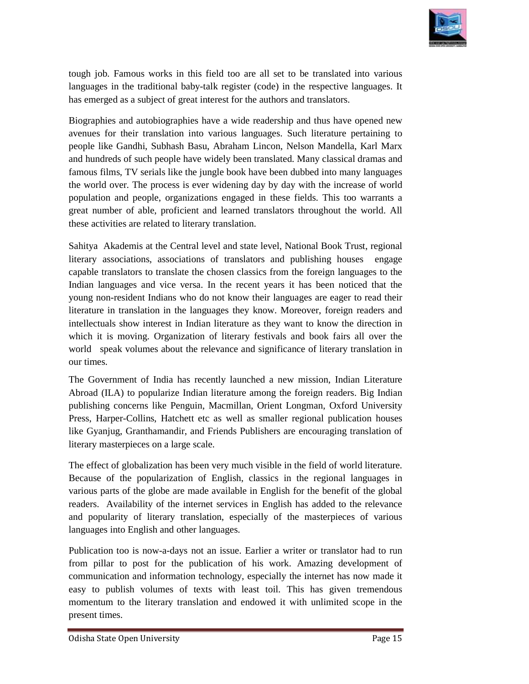

tough job. Famous works in this field too are all set to be translated into various languages in the traditional baby-talk register (code) in the respective languages. It has emerged as a subject of great interest for the authors and translators. the job. Famous works in this field too are all set to be translated into various<br>tuages in the traditional baby-talk register (code) in the respective languages. It<br>emerged as a subject of great interest for the authors a

Biographies and autobiographies have a wide readership and thus avenues for their translation into various languages. Such literature pertaining to people like Gandhi, Subhash Basu, Abraham Lincon, Nelson Mandella, Karl Marx<br>and hundreds of such people have widely been translated. Many classical dramas and and hundreds of such people have widely been translated. Many classical famous films, TV serials like the jungle book have been dubbed into many languages the world over. The process is ever widening day by day with the increase of world<br>population and people, organizations engaged in these fields. This too warrants a<br>great number of able, proficient and learned translators population and people, organizations engaged in these fields. This too warrants a great number of able, proficient and learned translators throughout the world. these activities are related to literary translation.

Sahitya Akademis at the Central level and state level, National Book Trust, regional literary associations, associations of translators and publishing houses engage capable translators to translate the chosen classics from the foreign languages to the capable translators to translate the chosen classics from the foreign languages to the Indian languages and vice versa. In the recent years it has been noticed that the young non-resident Indians who do not know their languages are eager to read their literature in translation in the languages they know. Moreover, foreign readers and intellectuals show interest in Indian literature as they want to know the which it is moving. Organization of literary festivals and book fairs all over the world speak volumes about the relevance and significance of literary translation in our times. which it is moving. Organization of literary festivals and book fairs all over the world speak volumes about the relevance and significance of literary translation in our times.<br>The Government of India has recently launche n-resident Indians who do not know their languages are eager to read their<br>in translation in the languages they know. Moreover, foreign readers and<br>ils show interest in Indian literature as they want to know the direction boogh job. Fannoas works in this field too are all set to be mandated into various changuages in the traditional baby talk register (coole) in the respective languages. It changuages in the reditional baby talk register (c iously job. Famous works in this field too are all set to be translated into various<br>(nongloges in the traditional baby fraik registr (code) in the respective languages. It<br>has emerged as a subject of great interest for th

Abroad (ILA) to popularize Indian literature among the foreign readers. Big Indian publishing concerns like Penguin, Macmillan, Orient Longman, Oxford University publishing concerns like Penguin, Macmillan, Orient Longman, Oxford University<br>Press, Harper-Collins, Hatchett etc as well as smaller regional publication houses like Gyanjug, Granthamandir, and Friends Publishers are encouraging translation of literary masterpieces on a large scale.

The effect of globalization has been very much visible in the field of world literature. like Gyanjug, Granthamandir, and Friends Publishers are encouraging translation of<br>literary masterpieces on a large scale.<br>The effect of globalization has been very much visible in the field of world literature.<br>Because of various parts of the globe are made available in English for the benefit of the global readers. Availability of the internet services in English has added to the relevance various parts of the globe are made available in English for the benefit of the global readers. Availability of the internet services in English has added to the relevance and popularity of literary translation, especially languages into English and other languages.

Publication too is now-a-days not an issue. Earlier a writer or translator had to run from pillar to post for the publication of his work. Amazing development of communication and information technology, especially the internet has now made it easy to publish volumes of texts with least toil. This has given tremendous momentum to the literary translation and endowed it with unlimited scope in the present times.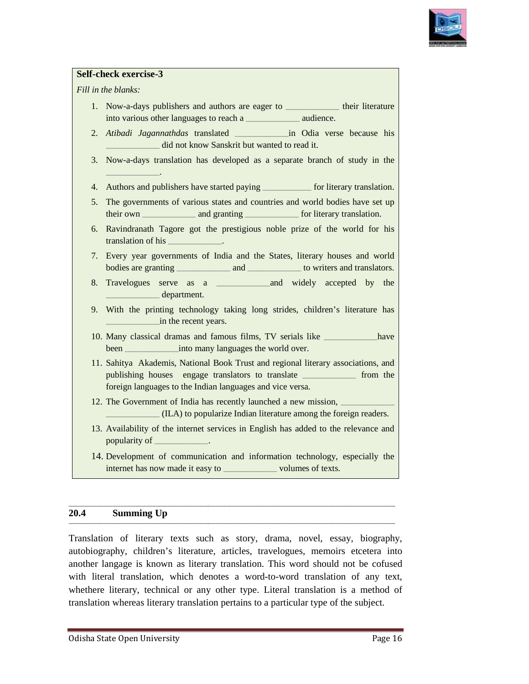

#### **Self-check exercise-3**

*Fill in the blanks:* 

- 1. Now-a-days publishers and authors are eager to \_\_\_\_\_\_\_\_\_\_\_\_\_\_ their literature into various other languages to reach a \_\_\_\_\_\_\_\_\_\_\_\_\_\_\_\_\_ audience.
- 2. *Atibadi Jagannathdas* translated did not know Sanskrit but wanted to read it. \_\_\_\_\_\_\_\_\_\_\_\_\_\_\_\_\_\_\_\_\_\_in Odia verse because his
- Games and the Universe and the Wanted to read it.<br>
3. Now-a-days translation has developed as a separate branch of study in the  $\overline{\phantom{a}}$  . The set of the set of the set of the set of the set of the set of the set of the set of the set of the set of the set of the set of the set of the set of the set of the set of the set of the set of the set o
- 4. Authors and publishers have started paying \_\_\_\_\_\_\_\_\_\_\_\_\_\_ for literary translation.
- 5. The governments of various states and countries and world bodies have set up their own \_\_\_\_\_\_\_\_\_\_\_\_\_\_\_\_\_\_\_\_\_\_ and granting \_\_\_\_\_\_\_\_\_\_\_\_\_\_\_\_\_\_\_\_\_\_ for literary translation.
- 6. Ravindranath Tagore got the prestigious noble prize of the world for his translation of his \_\_\_\_\_\_\_\_\_\_\_\_\_\_\_\_\_\_\_\_\_\_  $\overline{\phantom{a}}$
- 7. Every year governments of India and the States, literary houses and world year India States, and \_\_\_\_\_\_\_\_\_\_\_\_\_\_\_\_\_\_\_\_\_\_ to writers and translators. bodies are granting \_\_\_\_\_\_\_\_\_\_\_\_\_\_\_\_\_\_\_\_\_\_
- 8. Travelogues serve as a a \_\_\_\_\_\_\_\_\_\_\_\_\_\_\_\_\_\_\_\_\_\_and widely accepted by the \_\_\_\_\_\_\_\_\_\_\_\_\_\_\_\_\_\_\_\_\_\_ department.
- 9. With the printing technology taking long strides, children's literature has \_\_\_\_\_\_\_\_\_\_\_\_\_\_\_\_\_\_\_\_\_\_in the recent years.
- 10. Many classical dramas and famous films, TV serials like \_\_\_\_\_\_\_\_\_\_\_\_have been \_\_\_\_\_\_\_\_\_\_\_\_\_\_\_\_\_\_\_\_\_\_into many languages the world over.
- 11. Sahitya Akademis, National Book Trust and regional literary associations, and publishing houses engage translators to translate \_\_\_\_\_\_\_\_\_\_\_\_\_\_\_\_\_ from the foreign languages to the Indian languages and vice versa. days publishers and authors are eager to<br> *i* Jagannahdas translated <u>in</u> Odia verse because his<br> *ii* Jagannahdas translation and widel to read it.<br>
-days translation has developed as a separate branch of study in the<br>
-
- 12. The Government of India has recently launched a new mission, \_\_\_\_\_\_\_\_\_\_\_\_\_\_\_ \_\_\_\_\_\_\_\_\_\_\_\_\_\_\_\_\_\_\_\_\_\_ (ILA) to popularize Indian literature among the foreign readers.
- 13. Availability of the internet services in English has added to the relevance and popularity of \_\_\_\_\_\_\_\_\_\_. popularity of \_
- 14. Development of communication and information technology, especially the internet has now made it easy to will consider the volumes of texts.

#### **20.4 Summing Up**

Translation of literary texts such as story, drama, novel, essay, biography, autobiography, children's literature, articles, travelogues, memoirs etcetera into another langage is known as literary translation. This word shou with literal translation, which denotes a word-to-word translation of any text, whethere literary, technical or any other type. Literal translation is a method of whethere literary, technical or any other type. Literal translation is a method<br>translation whereas literary translation pertains to a particular type of the subject. Translation of literary texts such as story, drama, novel, essay, biography, autobiography, children's literature, articles, travelogues, memoirs etcetera into another langage is known as literary translation. This word sh

**\_\_\_\_\_\_\_\_\_\_\_\_\_\_\_\_\_\_\_\_\_\_\_\_\_\_\_\_\_\_\_\_\_\_\_\_\_\_\_\_\_\_\_\_\_\_\_\_\_\_\_\_\_\_\_\_\_\_\_\_\_\_\_\_\_\_\_\_\_\_\_\_\_\_\_\_\_\_\_\_\_\_\_\_\_\_\_\_\_\_\_\_\_\_\_\_\_\_\_\_\_\_\_\_\_\_\_\_\_\_\_\_\_\_\_\_\_\_\_\_\_\_\_\_\_**

**\_\_\_\_\_\_\_\_\_\_\_\_\_\_\_\_\_\_\_\_\_\_\_\_\_\_\_\_\_\_\_\_\_\_\_\_\_\_\_\_\_\_\_\_\_\_\_\_\_\_\_\_\_\_\_\_\_\_\_\_\_\_\_\_\_\_\_\_\_\_\_\_\_\_\_\_\_\_\_\_\_\_\_\_\_\_\_\_\_\_\_\_\_\_\_\_\_\_\_\_\_\_\_\_\_\_\_\_\_\_\_\_\_\_\_\_\_\_\_\_\_\_\_\_\_\_\_\_\_\_\_\_\_\_**

**\_\_\_\_\_\_\_\_\_\_\_\_\_\_\_\_\_\_\_\_\_\_\_\_\_\_\_\_\_\_\_\_\_\_\_\_\_\_\_\_\_\_\_\_\_\_\_\_\_\_\_\_\_\_\_\_\_\_\_\_\_\_\_\_\_\_\_\_\_\_\_\_\_\_\_\_\_\_\_\_\_\_\_\_\_\_\_\_\_\_\_\_\_\_\_\_\_\_\_\_\_\_\_\_\_\_\_\_\_\_\_\_\_\_\_\_\_\_\_\_\_\_\_\_\_\_\_\_\_\_\_\_\_\_**

**\_\_\_\_\_\_\_\_\_\_\_\_\_\_\_\_\_\_\_\_\_\_\_\_\_\_\_\_\_\_\_\_\_\_\_\_\_\_\_\_\_\_\_\_\_\_\_\_\_\_\_\_\_\_\_\_\_\_\_\_\_\_\_\_\_\_\_\_\_\_\_\_\_\_\_\_\_\_\_\_\_\_\_\_\_\_\_\_\_\_\_\_\_\_\_\_\_\_\_\_\_\_\_**

**\_\_\_\_\_\_\_\_\_\_\_\_\_\_\_\_\_\_\_\_\_\_\_\_\_\_\_\_\_\_\_\_\_\_\_\_\_\_\_\_**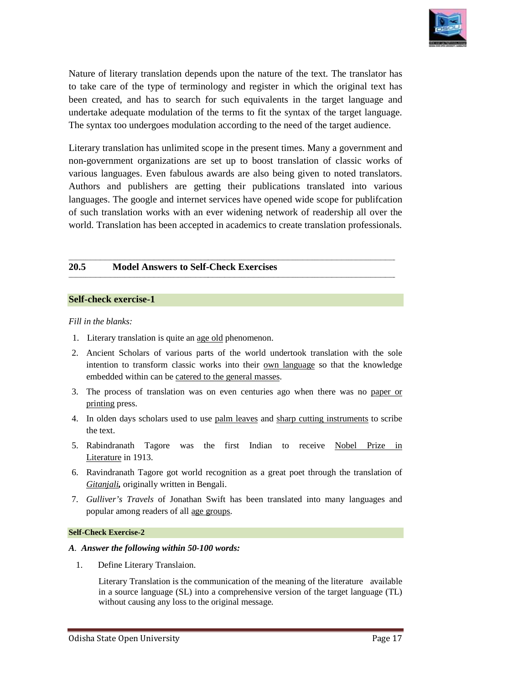

Nature of literary translation depends upon the nature of the text. The translator has to take care of the type of terminology and register in which the original text has to take care of the type of terminology and register in which the original text has<br>been created, and has to search for such equivalents in the target language and undertake adequate modulation of the terms to fit the syntax of the target language. The syntax too undergoes modulation according to the need of the target audience. Nature of literary translation depends upon the nature of the text. The translator has<br>to take care of the type of terminology and register in which the original text has<br>been created, and has to search for such equivalent

Literary translation has unlimited scope in the present times. Many a government and non-government organizations are set up to boost translation of classic works of various languages. Even fabulous awards are also being given to noted translators. Authors and publishers are getting their publications translated into various languages. The google and internet services have opened wide scope for publifcation of such translation works with an ever widening network of world. Translation has been accepted in academics to create translation professionals. non-government organizations are set up to boost translation of classic works of various languages. Even fabulous awards are also being given to noted translators. Authors and publishers are getting their publications tran

**\_\_\_\_\_\_\_\_\_\_\_\_\_\_\_\_\_\_\_\_\_\_\_\_\_\_\_\_\_\_\_\_\_\_\_\_\_\_\_\_\_\_\_\_\_\_\_\_\_\_\_\_\_\_\_\_\_\_\_\_\_\_\_\_\_\_\_\_\_\_\_\_\_\_\_\_\_\_\_\_\_\_\_\_\_\_\_\_\_\_\_\_\_\_\_\_\_\_\_\_\_\_\_\_\_\_\_\_\_\_\_\_\_\_\_\_\_\_\_\_\_\_\_\_\_**

**\_\_\_\_\_\_\_\_\_\_\_\_\_\_\_\_\_\_\_\_\_\_\_\_\_\_\_\_\_\_\_\_\_\_\_\_\_\_\_\_\_\_\_\_\_\_\_\_\_\_\_\_\_\_\_\_\_\_\_\_\_\_\_\_\_\_\_\_\_\_\_\_\_\_\_\_\_\_\_\_\_\_\_\_\_\_\_\_\_\_\_\_\_\_\_\_\_\_\_\_\_\_\_\_\_\_\_\_\_\_\_\_\_\_\_\_\_\_\_\_\_\_\_\_\_\_\_\_\_\_\_\_\_\_**

**\_\_\_\_\_\_\_\_\_\_\_\_\_\_\_\_\_\_\_\_\_\_\_\_\_\_\_\_\_\_\_\_\_\_\_\_\_\_\_\_\_\_\_\_\_\_\_\_\_\_\_\_\_\_\_\_\_\_\_\_\_\_\_\_\_\_\_\_\_\_\_\_\_\_\_\_\_\_\_\_\_\_\_\_\_\_\_\_\_\_\_\_\_\_\_\_\_\_\_\_\_\_\_\_\_\_\_\_\_\_\_\_\_\_\_\_\_\_\_\_\_\_\_\_\_\_\_\_\_\_\_\_\_\_**

**\_\_\_\_\_\_\_\_\_\_\_\_\_\_\_\_\_\_\_\_\_\_\_\_\_\_\_\_\_\_\_\_\_\_\_\_\_\_\_\_\_\_\_\_\_\_\_\_\_\_\_\_\_\_\_\_\_\_\_\_\_\_\_\_\_\_\_\_\_\_\_\_\_\_\_\_\_\_\_\_\_\_\_\_\_\_\_\_\_\_\_\_\_\_\_\_\_\_\_\_\_\_\_\_\_\_\_\_\_\_\_\_\_\_\_\_\_\_\_\_\_\_\_\_\_**

#### **20.5 Model Answers to Self- -Check Exercises**

#### **Self-check exercise-1**

#### *Fill in the blanks:*

- 1. Literary translation is quite an age old phenomenon.
- 2. Ancient Scholars of various parts of the world undertook translation with the sole Ancient Scholars of various parts of the world undertook translation with the sole intention to transform classic works into their **own language** so that the knowledge embedded within can be catered to the general masses. designals alars of various parts of the world undertook translation with the stansform classic works into their <u>own language</u> so that the knowled<br>thin can be catered to the general masses.<br>of translation was on even centu
- 3. The process of translation was on even centuries ago when there was no paper or printing press.
- 4. In olden days scholars used to use palm leaves and sharp cutting instruments to scribe the text.
- 5. Rabindranath Tagore was the first Indian to receive Nobel Prize in Literature in 1913.
- 6. Ravindranath Tagore got world recognition as a great poet through the translation of *Gitanjali,* originally written in Bengali.
- 7. *Gulliver's Travels* of Jonathan Swift has been translated into many languages and popular among readers of all age groups.

#### **Self-Check Exercise-2**

#### *A. Answer the following within 50-100 words: 100*

1. Define Literary Translaion.

Literary Translation is the communication of the meaning of the literature available in a source language (SL) into a comprehensive version of the target language (TL) without causing any loss to the original message.

**\_\_\_\_\_\_\_\_\_\_\_\_\_\_\_\_\_\_**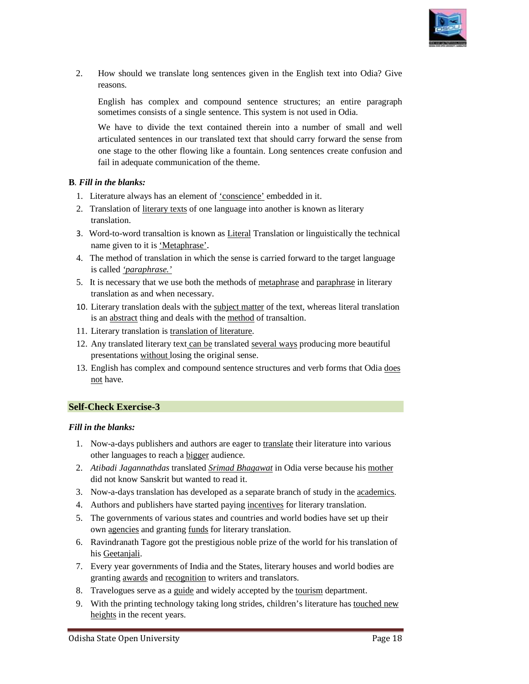

2. How should we translate long sentences given in the English text into Odia? Give reasons.

English has complex and compound sentence structures; an entire paragraph sometimes consists of a single sentence. This system is not used in Odia.

We have to divide the text contained therein into a number of small and well articulated sentences in our translated text that should carry forward the sense from one stage to the other flowing like a fountain. Long sentences create confusion and fail in adequate communication of the theme. How should we translate long sentences given in the English text into Odia? Give<br>reasons.<br>English has complex and compound sentence structures; an entire paragraph<br>sometimes consists of a single sentence. This system is no How should we translate long sentences given in the English text into Odia? Give<br>reasons.<br>English has complex and compound sentence structures; an entire paragraph<br>sometimes consists of a single sentence. This system is no

#### **B***. Fill in the blanks:*

- 1. Fill in adequate communication of the theme.<br>
Fill in the blanks:<br>
1. Literature always has an element of <u>'conscience'</u> embedded in it.
- 2. Translation of *literary texts* of one language into another is known as literary translation.
- 3. Word-to-word transaltion is known as *Literal* Translation or linguistically the technical name given to it is 'Metaphrase'.
- name given to it is <u>'Metaphrase'</u>.<br>4. The method of translation in which the sense is carried forward to the target language is called *'paraphrase.'*
- 5. It is necessary that we use both the methods of metaphrase and paraphrase in literary translation as and when necessary.
- 10. Literary translation deals with the subject matter of the text, whereas literal translation is an abstract thing and deals with the method of transaltion.
- 11. Literary translation is translation of literature.
- 12. Any translated literary text can be translated several ways producing more beautiful presentations without losing the original sense.
- presentations without losing the original sense.<br>13. English has complex and compound sentence structures and verb forms that Odia does not have. text, whereas literal translation<br>tion.<br>ys producing more beautiful<br>and verb forms that Odia <u>does</u><br> $\underline{e}$  their literature into various<br>dia verse because his <u>mother</u><br>nch of study in the <u>academics</u>.

#### **Self-Check Exercise-3**

#### *Fill in the blanks:*

- 1. Now-a-days publishers and authors are eager to translate their literature into various other languages to reach a bigger audience.
- 2. *Atibadi Jagannathdas* translated *Srimad Bhagawat* in Odia verse because his mother did not know Sanskrit but wanted to read it.
- 3. Now-a-days translation has developed as a separate branch of study in the academics
- 4. Authors and publishers have started paying incentives for literary translation.
- 5. The governments of various states and countries and world bodies have set up their The governments of various states and countries and wor<br>own agencies and granting funds for literary translation.
- 6. Ravindranath Tagore got the prestigious noble prize of the world for his translation of his Geetanjali.
- 7. Every year governments of India and the States, literary houses and world bodies are Every year governments of India and the States, literary ho<br>granting <u>awards</u> and recognition to writers and translators.
- 8. Travelogues serve as a guide and widely accepted by the tourism department.
- 9. With the printing technology taking long strides, children's literature has **touched new** heights in the recent years.